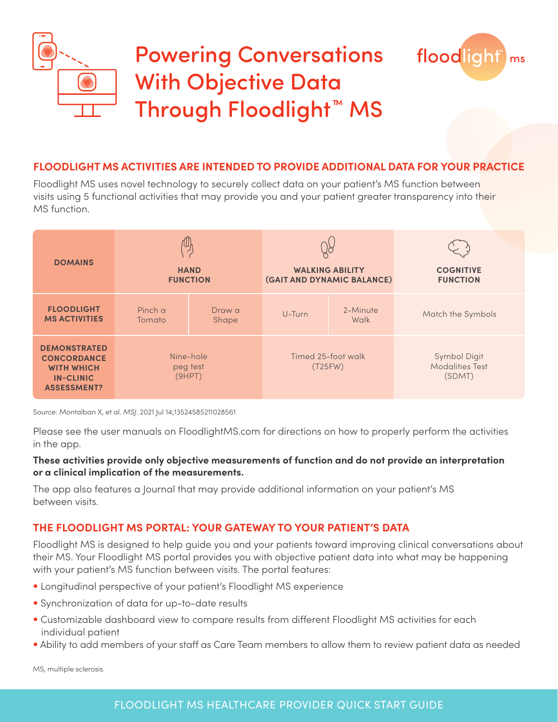

# Powering Conversations With Objective Data Through Floodlight™ MS



### **FLOODLIGHT MS ACTIVITIES ARE INTENDED TO PROVIDE ADDITIONAL DATA FOR YOUR PRACTICE**

Floodlight MS uses novel technology to securely collect data on your patient's MS function between visits using 5 functional activities that may provide you and your patient greater transparency into their MS function.

| <b>DOMAINS</b>                                                                                           | 伵<br><b>HAND</b><br><b>FUNCTION</b> |                 | 98<br><b>WALKING ABILITY</b><br>(GAIT AND DYNAMIC BALANCE) |                  | <b>COGNITIVE</b><br><b>FUNCTION</b>              |
|----------------------------------------------------------------------------------------------------------|-------------------------------------|-----------------|------------------------------------------------------------|------------------|--------------------------------------------------|
| <b>FLOODLIGHT</b><br><b>MS ACTIVITIES</b>                                                                | Pinch a<br>Tomato                   | Draw a<br>Shape | U-Turn                                                     | 2-Minute<br>Walk | Match the Symbols                                |
| <b>DEMONSTRATED</b><br><b>CONCORDANCE</b><br><b>WITH WHICH</b><br><b>IN-CLINIC</b><br><b>ASSESSMENT?</b> | Nine-hole<br>peg test<br>(9HPT)     |                 | Timed 25-foot walk<br>(T25FW)                              |                  | Symbol Digit<br><b>Modalities Test</b><br>(SDMT) |

Source: Montalban X, et al. *MSJ*. 2021 Jul 14;13524585211028561

Please see the user manuals on FloodlightMS.com for directions on how to properly perform the activities in the app.

#### **These activities provide only objective measurements of function and do not provide an interpretation or a clinical implication of the measurements.**

The app also features a Journal that may provide additional information on your patient's MS between visits.

## **THE FLOODLIGHT MS PORTAL: YOUR GATEWAY TO YOUR PATIENT'S DATA**

Floodlight MS is designed to help guide you and your patients toward improving clinical conversations about their MS. Your Floodlight MS portal provides you with objective patient data into what may be happening with your patient's MS function between visits. The portal features:

- Longitudinal perspective of your patient's Floodlight MS experience
- Synchronization of data for up-to-date results
- Customizable dashboard view to compare results from different Floodlight MS activities for each individual patient
- Ability to add members of your staff as Care Team members to allow them to review patient data as needed

MS, multiple sclerosis.

## FLOODLIGHT MS HEALTHCARE PROVIDER QUICK START GUIDE